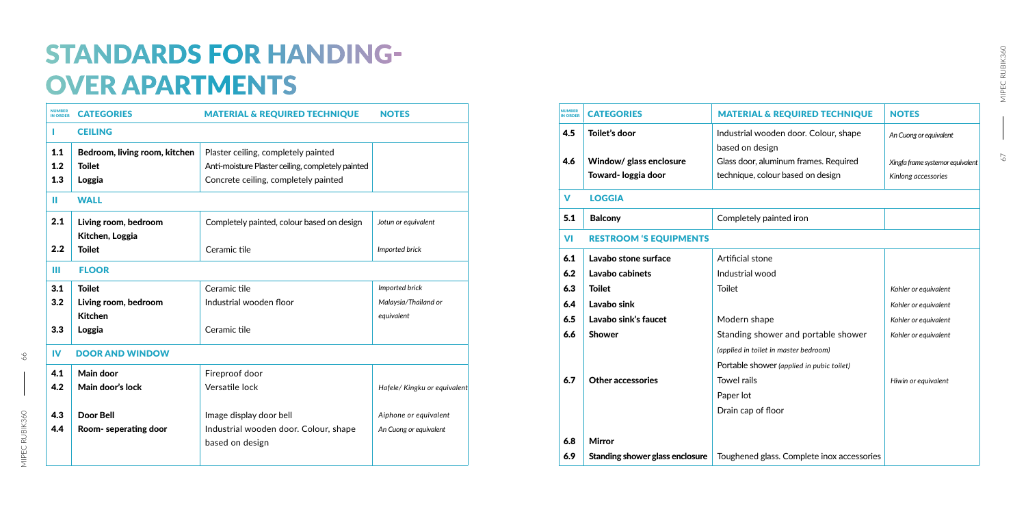| <b>IN ORDER</b> | <b>CATEGORIES</b>             | <b>MATERIAL &amp; REQUIRED TECHNIQUE</b>          | <b>NOTES</b>                 | <b>IN ORDER</b>                            | <b>CATEGORIES</b>               | <b>MATERIAL &amp; REQUIRED TECHNIQUE</b>   | <b>NOTES</b> |  |
|-----------------|-------------------------------|---------------------------------------------------|------------------------------|--------------------------------------------|---------------------------------|--------------------------------------------|--------------|--|
|                 | <b>CEILING</b>                |                                                   |                              | 4.5                                        | Toilet's door                   | Industrial wooden door. Colour, shape      | An Cuong     |  |
| 1.1             | Bedroom, living room, kitchen | Plaster ceiling, completely painted               |                              |                                            |                                 | based on design                            |              |  |
| 1.2             | <b>Toilet</b>                 | Anti-moisture Plaster ceiling, completely painted |                              | 4.6                                        | Window/ glass enclosure         | Glass door, aluminum frames. Required      | Xingfa fran  |  |
| 1.3             | Loggia                        | Concrete ceiling, completely painted              |                              |                                            | Toward- loggia door             | technique, colour based on design          | Kinlong a    |  |
|                 | <b>WALL</b>                   |                                                   |                              | $\mathbf v$                                | <b>LOGGIA</b>                   |                                            |              |  |
| 2.1             | Living room, bedroom          | Completely painted, colour based on design        | Jotun or equivalent          | 5.1                                        | <b>Balcony</b>                  | Completely painted iron                    |              |  |
|                 | Kitchen, Loggia               |                                                   |                              | <b>VI</b><br><b>RESTROOM 'S EQUIPMENTS</b> |                                 |                                            |              |  |
| 2.2             | <b>Toilet</b>                 | Ceramic tile                                      | Imported brick               | 6.1                                        | Lavabo stone surface            | Artificial stone                           |              |  |
| Ш               | <b>FLOOR</b>                  |                                                   |                              | 6.2                                        | Lavabo cabinets                 | Industrial wood                            |              |  |
| 3.1             | <b>Toilet</b>                 | Ceramic tile                                      | Imported brick               | 6.3                                        | <b>Toilet</b>                   | Toilet                                     | Kohler or    |  |
| 3.2             | Living room, bedroom          | Industrial wooden floor                           | Malaysia/Thailand or         | 6.4                                        | Lavabo sink                     |                                            | Kohler or    |  |
|                 | <b>Kitchen</b>                |                                                   | equivalent                   | 6.5                                        | Lavabo sink's faucet            | Modern shape                               | Kohler or    |  |
| 3.3             | Loggia                        | Ceramic tile                                      |                              | 6.6                                        | <b>Shower</b>                   | Standing shower and portable shower        | Kohler or    |  |
| <b>IV</b>       | <b>DOOR AND WINDOW</b>        |                                                   |                              |                                            |                                 | (applied in toilet in master bedroom)      |              |  |
|                 |                               |                                                   |                              |                                            |                                 | Portable shower (applied in pubic toilet)  |              |  |
| 4.1             | <b>Main door</b>              | Fireproof door                                    |                              | 6.7                                        | <b>Other accessories</b>        | Towel rails                                | Hiwin or     |  |
| 4.2             | Main door's lock              | Versatile lock                                    | Hafele/ Kingku or equivalent |                                            |                                 | Paper lot                                  |              |  |
| 4.3             | <b>Door Bell</b>              | Image display door bell                           | Aiphone or equivalent        |                                            |                                 | Drain cap of floor                         |              |  |
| 4.4             | Room- seperating door         | Industrial wooden door. Colour, shape             | An Cuong or equivalent       |                                            |                                 |                                            |              |  |
|                 |                               | based on design                                   |                              | 6.8                                        | <b>Mirror</b>                   |                                            |              |  |
|                 |                               |                                                   |                              | 6.9                                        | Standing shower glass enclosure | Toughened glass. Complete inox accessories |              |  |
|                 |                               |                                                   |                              |                                            |                                 |                                            |              |  |

| <b>UMBER</b><br><b>NORDER</b> | <b>CATEGORIES</b>                              | <b>MATERIAL &amp; REQUIRED TECHNIQUE</b>                                   | <b>NOTES</b>                                            |
|-------------------------------|------------------------------------------------|----------------------------------------------------------------------------|---------------------------------------------------------|
| 4.5                           | Toilet's door                                  | Industrial wooden door. Colour, shape<br>based on design                   | An Cuong or equivalent                                  |
| 4.6                           | Window/ glass enclosure<br>Toward- loggia door | Glass door, aluminum frames. Required<br>technique, colour based on design | Xingfa frame systemor equivalent<br>Kinlong accessories |
| V                             | <b>LOGGIA</b>                                  |                                                                            |                                                         |
| 5.1                           | <b>Balcony</b>                                 | Completely painted iron                                                    |                                                         |
| VI                            | <b>RESTROOM 'S EQUIPMENTS</b>                  |                                                                            |                                                         |
| 6.1                           | Lavabo stone surface                           | Artificial stone                                                           |                                                         |
| 6.2                           | Lavabo cabinets                                | Industrial wood                                                            |                                                         |
| 6.3                           | <b>Toilet</b>                                  | <b>Toilet</b>                                                              | Kohler or equivalent                                    |
| 6.4                           | Lavabo sink                                    |                                                                            | Kohler or equivalent                                    |
| 6.5                           | Lavabo sink's faucet                           | Modern shape                                                               | Kohler or equivalent                                    |
| 6.6                           | <b>Shower</b>                                  | Standing shower and portable shower                                        | Kohler or equivalent                                    |
|                               |                                                | (applied in toilet in master bedroom)                                      |                                                         |
|                               |                                                | Portable shower (applied in pubic toilet)                                  |                                                         |
| 6.7                           | <b>Other accessories</b>                       | <b>Towel rails</b>                                                         | Hiwin or equivalent                                     |
|                               |                                                | Paper lot                                                                  |                                                         |
|                               |                                                | Drain cap of floor                                                         |                                                         |
|                               |                                                |                                                                            |                                                         |
| 6.8                           | <b>Mirror</b>                                  |                                                                            |                                                         |

## STANDARDS FOR HANDING-OVER APARTMENTS

66